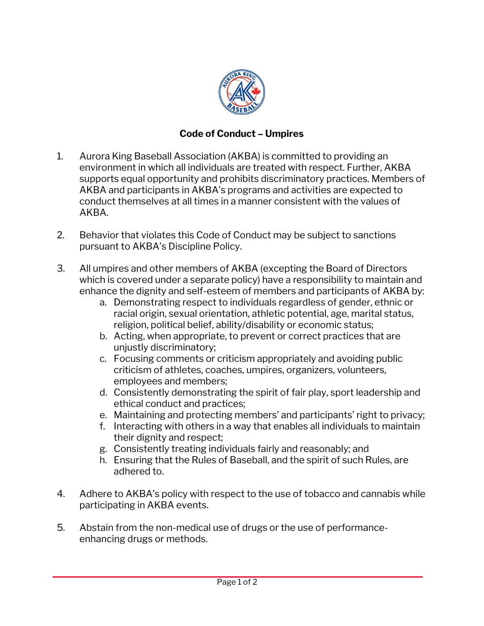

## **Code of Conduct – Umpires**

- 1. Aurora King Baseball Association (AKBA) is committed to providing an environment in which all individuals are treated with respect. Further, AKBA supports equal opportunity and prohibits discriminatory practices. Members of AKBA and participants in AKBA's programs and activities are expected to conduct themselves at all times in a manner consistent with the values of AKBA.
- 2. Behavior that violates this Code of Conduct may be subject to sanctions pursuant to AKBA's Discipline Policy.
- 3. All umpires and other members of AKBA (excepting the Board of Directors which is covered under a separate policy) have a responsibility to maintain and enhance the dignity and self-esteem of members and participants of AKBA by:
	- a. Demonstrating respect to individuals regardless of gender, ethnic or racial origin, sexual orientation, athletic potential, age, marital status, religion, political belief, ability/disability or economic status;
	- b. Acting, when appropriate, to prevent or correct practices that are unjustly discriminatory;
	- c. Focusing comments or criticism appropriately and avoiding public criticism of athletes, coaches, umpires, organizers, volunteers, employees and members;
	- d. Consistently demonstrating the spirit of fair play, sport leadership and ethical conduct and practices;
	- e. Maintaining and protecting members' and participants' right to privacy;
	- f. Interacting with others in a way that enables all individuals to maintain their dignity and respect;
	- g. Consistently treating individuals fairly and reasonably; and
	- h. Ensuring that the Rules of Baseball, and the spirit of such Rules, are adhered to.
- 4. Adhere to AKBA's policy with respect to the use of tobacco and cannabis while participating in AKBA events.
- 5. Abstain from the non-medical use of drugs or the use of performanceenhancing drugs or methods.